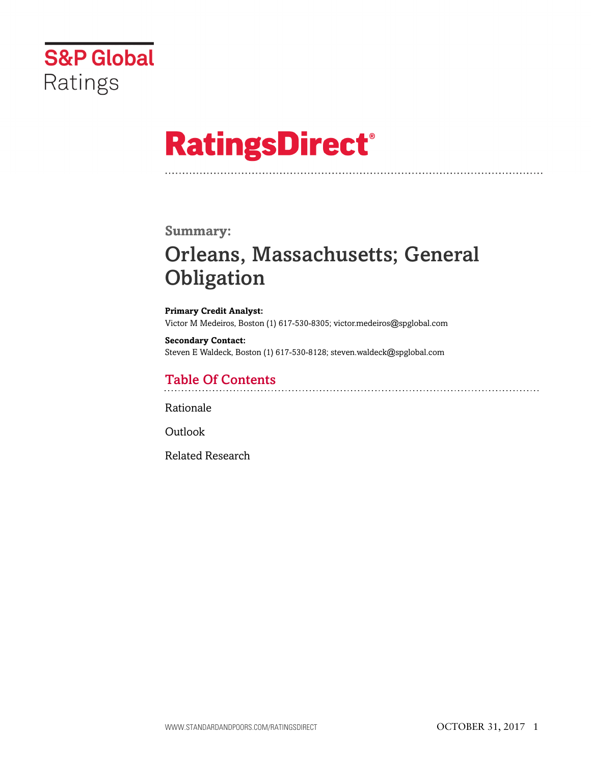

# **RatingsDirect®**

### **Summary:**

# Orleans, Massachusetts; General **Obligation**

**Primary Credit Analyst:** Victor M Medeiros, Boston (1) 617-530-8305; victor.medeiros@spglobal.com

**Secondary Contact:** Steven E Waldeck, Boston (1) 617-530-8128; steven.waldeck@spglobal.com

# Table Of Contents

[Rationale](#page-1-0)

[Outlook](#page-4-0)

[Related Research](#page-4-1)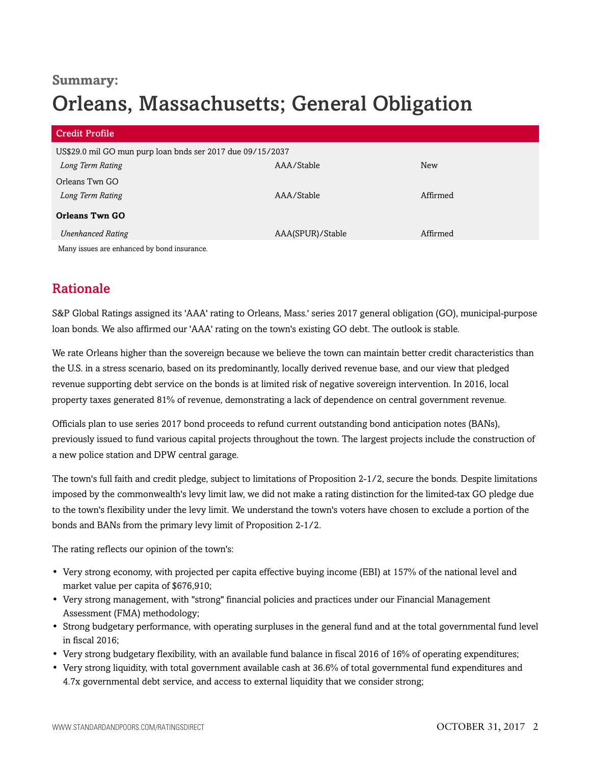### **Summary:**

# Orleans, Massachusetts; General Obligation

| <b>Credit Profile</b>                                      |                  |            |
|------------------------------------------------------------|------------------|------------|
| US\$29.0 mil GO mun purp loan bnds ser 2017 due 09/15/2037 |                  |            |
| Long Term Rating                                           | AAA/Stable       | <b>New</b> |
| Orleans Twn GO                                             |                  |            |
| Long Term Rating                                           | AAA/Stable       | Affirmed   |
| <b>Orleans Twn GO</b>                                      |                  |            |
| <b>Unenhanced Rating</b>                                   | AAA(SPUR)/Stable | Affirmed   |
| March 1986 and the contract of the Lond to contract the    |                  |            |

<span id="page-1-0"></span>Many issues are enhanced by bond insurance.

# Rationale

S&P Global Ratings assigned its 'AAA' rating to Orleans, Mass.' series 2017 general obligation (GO), municipal-purpose loan bonds. We also affirmed our 'AAA' rating on the town's existing GO debt. The outlook is stable.

We rate Orleans higher than the sovereign because we believe the town can maintain better credit characteristics than the U.S. in a stress scenario, based on its predominantly, locally derived revenue base, and our view that pledged revenue supporting debt service on the bonds is at limited risk of negative sovereign intervention. In 2016, local property taxes generated 81% of revenue, demonstrating a lack of dependence on central government revenue.

Officials plan to use series 2017 bond proceeds to refund current outstanding bond anticipation notes (BANs), previously issued to fund various capital projects throughout the town. The largest projects include the construction of a new police station and DPW central garage.

The town's full faith and credit pledge, subject to limitations of Proposition 2-1/2, secure the bonds. Despite limitations imposed by the commonwealth's levy limit law, we did not make a rating distinction for the limited-tax GO pledge due to the town's flexibility under the levy limit. We understand the town's voters have chosen to exclude a portion of the bonds and BANs from the primary levy limit of Proposition 2-1/2.

The rating reflects our opinion of the town's:

- Very strong economy, with projected per capita effective buying income (EBI) at 157% of the national level and market value per capita of \$676,910;
- Very strong management, with "strong" financial policies and practices under our Financial Management Assessment (FMA) methodology;
- Strong budgetary performance, with operating surpluses in the general fund and at the total governmental fund level in fiscal 2016;
- Very strong budgetary flexibility, with an available fund balance in fiscal 2016 of 16% of operating expenditures;
- Very strong liquidity, with total government available cash at 36.6% of total governmental fund expenditures and 4.7x governmental debt service, and access to external liquidity that we consider strong;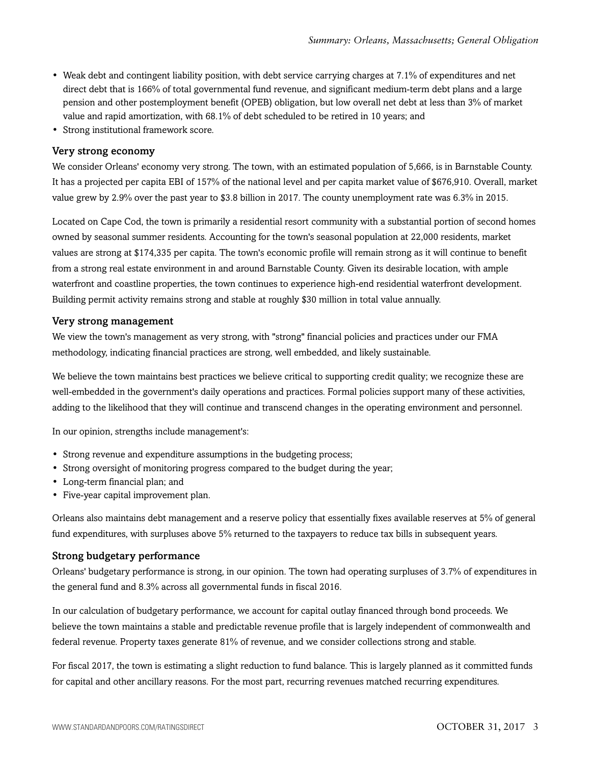- Weak debt and contingent liability position, with debt service carrying charges at 7.1% of expenditures and net direct debt that is 166% of total governmental fund revenue, and significant medium-term debt plans and a large pension and other postemployment benefit (OPEB) obligation, but low overall net debt at less than 3% of market value and rapid amortization, with 68.1% of debt scheduled to be retired in 10 years; and
- Strong institutional framework score.

#### Very strong economy

We consider Orleans' economy very strong. The town, with an estimated population of 5,666, is in Barnstable County. It has a projected per capita EBI of 157% of the national level and per capita market value of \$676,910. Overall, market value grew by 2.9% over the past year to \$3.8 billion in 2017. The county unemployment rate was 6.3% in 2015.

Located on Cape Cod, the town is primarily a residential resort community with a substantial portion of second homes owned by seasonal summer residents. Accounting for the town's seasonal population at 22,000 residents, market values are strong at \$174,335 per capita. The town's economic profile will remain strong as it will continue to benefit from a strong real estate environment in and around Barnstable County. Given its desirable location, with ample waterfront and coastline properties, the town continues to experience high-end residential waterfront development. Building permit activity remains strong and stable at roughly \$30 million in total value annually.

#### Very strong management

We view the town's management as very strong, with "strong" financial policies and practices under our FMA methodology, indicating financial practices are strong, well embedded, and likely sustainable.

We believe the town maintains best practices we believe critical to supporting credit quality; we recognize these are well-embedded in the government's daily operations and practices. Formal policies support many of these activities, adding to the likelihood that they will continue and transcend changes in the operating environment and personnel.

In our opinion, strengths include management's:

- Strong revenue and expenditure assumptions in the budgeting process;
- Strong oversight of monitoring progress compared to the budget during the year;
- Long-term financial plan; and
- Five-year capital improvement plan.

Orleans also maintains debt management and a reserve policy that essentially fixes available reserves at 5% of general fund expenditures, with surpluses above 5% returned to the taxpayers to reduce tax bills in subsequent years.

#### Strong budgetary performance

Orleans' budgetary performance is strong, in our opinion. The town had operating surpluses of 3.7% of expenditures in the general fund and 8.3% across all governmental funds in fiscal 2016.

In our calculation of budgetary performance, we account for capital outlay financed through bond proceeds. We believe the town maintains a stable and predictable revenue profile that is largely independent of commonwealth and federal revenue. Property taxes generate 81% of revenue, and we consider collections strong and stable.

For fiscal 2017, the town is estimating a slight reduction to fund balance. This is largely planned as it committed funds for capital and other ancillary reasons. For the most part, recurring revenues matched recurring expenditures.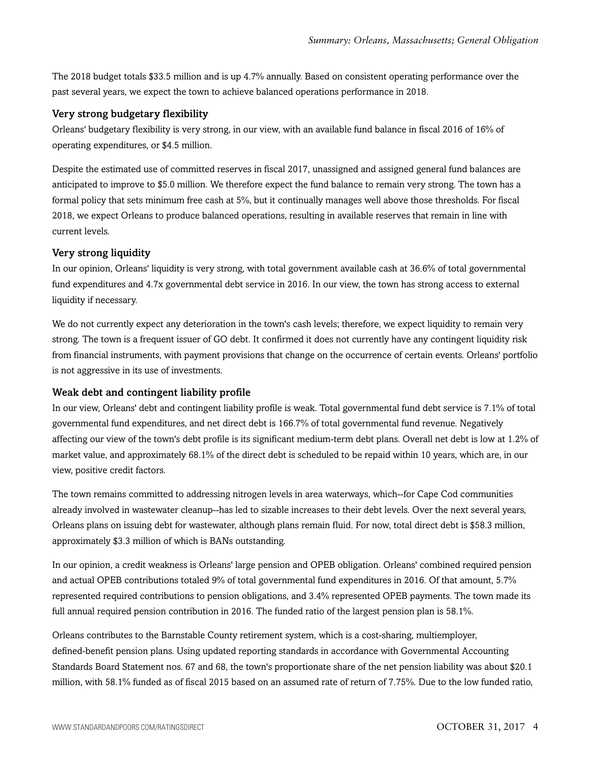The 2018 budget totals \$33.5 million and is up 4.7% annually. Based on consistent operating performance over the past several years, we expect the town to achieve balanced operations performance in 2018.

#### Very strong budgetary flexibility

Orleans' budgetary flexibility is very strong, in our view, with an available fund balance in fiscal 2016 of 16% of operating expenditures, or \$4.5 million.

Despite the estimated use of committed reserves in fiscal 2017, unassigned and assigned general fund balances are anticipated to improve to \$5.0 million. We therefore expect the fund balance to remain very strong. The town has a formal policy that sets minimum free cash at 5%, but it continually manages well above those thresholds. For fiscal 2018, we expect Orleans to produce balanced operations, resulting in available reserves that remain in line with current levels.

#### Very strong liquidity

In our opinion, Orleans' liquidity is very strong, with total government available cash at 36.6% of total governmental fund expenditures and 4.7x governmental debt service in 2016. In our view, the town has strong access to external liquidity if necessary.

We do not currently expect any deterioration in the town's cash levels; therefore, we expect liquidity to remain very strong. The town is a frequent issuer of GO debt. It confirmed it does not currently have any contingent liquidity risk from financial instruments, with payment provisions that change on the occurrence of certain events. Orleans' portfolio is not aggressive in its use of investments.

#### Weak debt and contingent liability profile

In our view, Orleans' debt and contingent liability profile is weak. Total governmental fund debt service is 7.1% of total governmental fund expenditures, and net direct debt is 166.7% of total governmental fund revenue. Negatively affecting our view of the town's debt profile is its significant medium-term debt plans. Overall net debt is low at 1.2% of market value, and approximately 68.1% of the direct debt is scheduled to be repaid within 10 years, which are, in our view, positive credit factors.

The town remains committed to addressing nitrogen levels in area waterways, which--for Cape Cod communities already involved in wastewater cleanup--has led to sizable increases to their debt levels. Over the next several years, Orleans plans on issuing debt for wastewater, although plans remain fluid. For now, total direct debt is \$58.3 million, approximately \$3.3 million of which is BANs outstanding.

In our opinion, a credit weakness is Orleans' large pension and OPEB obligation. Orleans' combined required pension and actual OPEB contributions totaled 9% of total governmental fund expenditures in 2016. Of that amount, 5.7% represented required contributions to pension obligations, and 3.4% represented OPEB payments. The town made its full annual required pension contribution in 2016. The funded ratio of the largest pension plan is 58.1%.

Orleans contributes to the Barnstable County retirement system, which is a cost-sharing, multiemployer, defined-benefit pension plans. Using updated reporting standards in accordance with Governmental Accounting Standards Board Statement nos. 67 and 68, the town's proportionate share of the net pension liability was about \$20.1 million, with 58.1% funded as of fiscal 2015 based on an assumed rate of return of 7.75%. Due to the low funded ratio,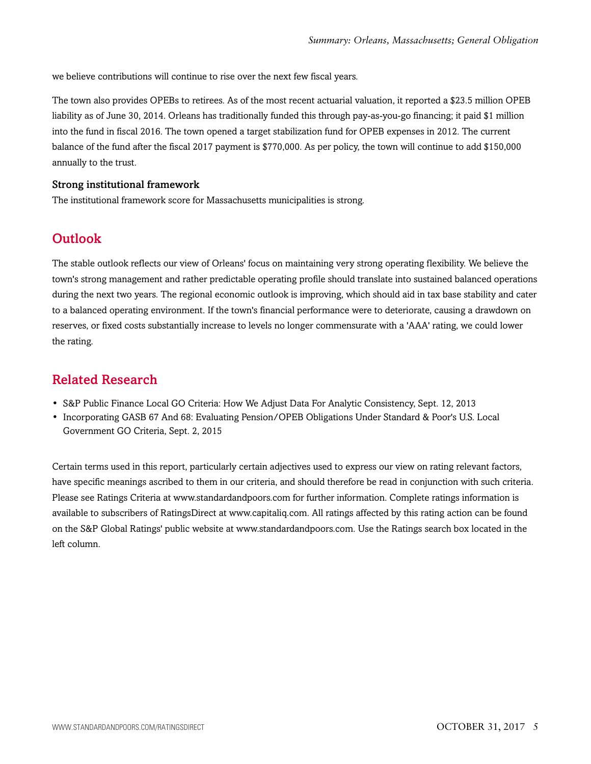we believe contributions will continue to rise over the next few fiscal years.

The town also provides OPEBs to retirees. As of the most recent actuarial valuation, it reported a \$23.5 million OPEB liability as of June 30, 2014. Orleans has traditionally funded this through pay-as-you-go financing; it paid \$1 million into the fund in fiscal 2016. The town opened a target stabilization fund for OPEB expenses in 2012. The current balance of the fund after the fiscal 2017 payment is \$770,000. As per policy, the town will continue to add \$150,000 annually to the trust.

#### Strong institutional framework

<span id="page-4-0"></span>The institutional framework score for Massachusetts municipalities is strong.

## **Outlook**

The stable outlook reflects our view of Orleans' focus on maintaining very strong operating flexibility. We believe the town's strong management and rather predictable operating profile should translate into sustained balanced operations during the next two years. The regional economic outlook is improving, which should aid in tax base stability and cater to a balanced operating environment. If the town's financial performance were to deteriorate, causing a drawdown on reserves, or fixed costs substantially increase to levels no longer commensurate with a 'AAA' rating, we could lower the rating.

### <span id="page-4-1"></span>Related Research

- S&P Public Finance Local GO Criteria: How We Adjust Data For Analytic Consistency, Sept. 12, 2013
- Incorporating GASB 67 And 68: Evaluating Pension/OPEB Obligations Under Standard & Poor's U.S. Local Government GO Criteria, Sept. 2, 2015

Certain terms used in this report, particularly certain adjectives used to express our view on rating relevant factors, have specific meanings ascribed to them in our criteria, and should therefore be read in conjunction with such criteria. Please see Ratings Criteria at www.standardandpoors.com for further information. Complete ratings information is available to subscribers of RatingsDirect at www.capitaliq.com. All ratings affected by this rating action can be found on the S&P Global Ratings' public website at www.standardandpoors.com. Use the Ratings search box located in the left column.